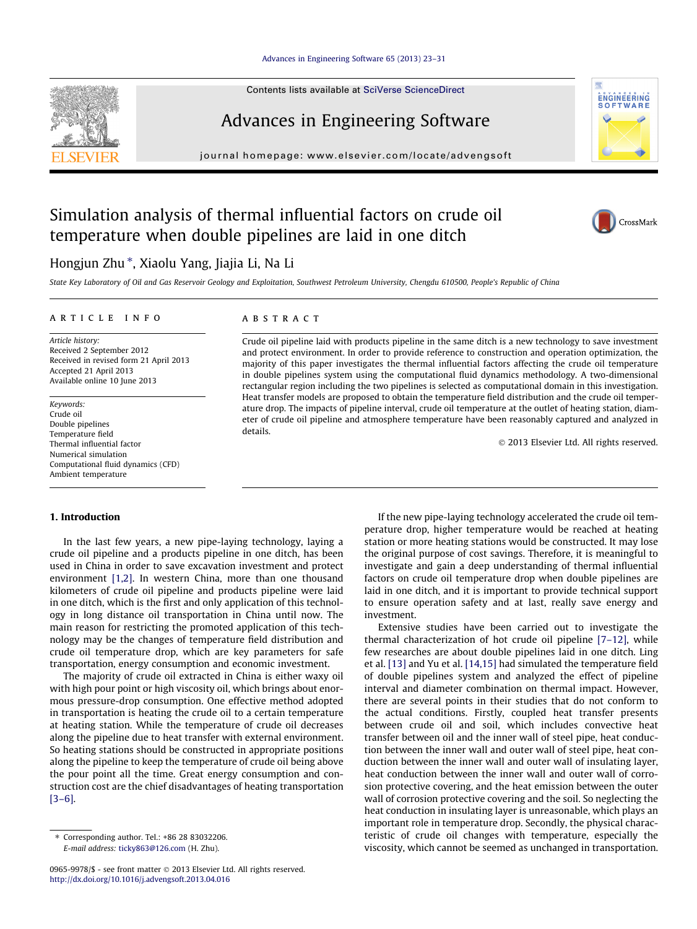#### [Advances in Engineering Software 65 \(2013\) 23–31](http://dx.doi.org/10.1016/j.advengsoft.2013.04.016)

Contents lists available at [SciVerse ScienceDirect](http://www.sciencedirect.com/science/journal/09659978)

## Advances in Engineering Software

journal homepage: [www.elsevier.com/locate/advengsoft](http://www.elsevier.com/locate/advengsoft)

## Simulation analysis of thermal influential factors on crude oil temperature when double pipelines are laid in one ditch

### Hongjun Zhu\*, Xiaolu Yang, Jiajia Li, Na Li

State Key Laboratory of Oil and Gas Reservoir Geology and Exploitation, Southwest Petroleum University, Chengdu 610500, People's Republic of China

#### article info

Article history: Received 2 September 2012 Received in revised form 21 April 2013 Accepted 21 April 2013 Available online 10 June 2013

Keywords: Crude oil Double pipelines Temperature field Thermal influential factor Numerical simulation Computational fluid dynamics (CFD) Ambient temperature

#### 1. Introduction

In the last few years, a new pipe-laying technology, laying a crude oil pipeline and a products pipeline in one ditch, has been used in China in order to save excavation investment and protect environment [\[1,2\]](#page--1-0). In western China, more than one thousand kilometers of crude oil pipeline and products pipeline were laid in one ditch, which is the first and only application of this technology in long distance oil transportation in China until now. The main reason for restricting the promoted application of this technology may be the changes of temperature field distribution and crude oil temperature drop, which are key parameters for safe transportation, energy consumption and economic investment.

The majority of crude oil extracted in China is either waxy oil with high pour point or high viscosity oil, which brings about enormous pressure-drop consumption. One effective method adopted in transportation is heating the crude oil to a certain temperature at heating station. While the temperature of crude oil decreases along the pipeline due to heat transfer with external environment. So heating stations should be constructed in appropriate positions along the pipeline to keep the temperature of crude oil being above the pour point all the time. Great energy consumption and construction cost are the chief disadvantages of heating transportation [\[3–6\].](#page--1-0)

#### **ABSTRACT**

Crude oil pipeline laid with products pipeline in the same ditch is a new technology to save investment and protect environment. In order to provide reference to construction and operation optimization, the majority of this paper investigates the thermal influential factors affecting the crude oil temperature in double pipelines system using the computational fluid dynamics methodology. A two-dimensional rectangular region including the two pipelines is selected as computational domain in this investigation. Heat transfer models are proposed to obtain the temperature field distribution and the crude oil temperature drop. The impacts of pipeline interval, crude oil temperature at the outlet of heating station, diameter of crude oil pipeline and atmosphere temperature have been reasonably captured and analyzed in details.

- 2013 Elsevier Ltd. All rights reserved.

If the new pipe-laying technology accelerated the crude oil temperature drop, higher temperature would be reached at heating station or more heating stations would be constructed. It may lose the original purpose of cost savings. Therefore, it is meaningful to investigate and gain a deep understanding of thermal influential factors on crude oil temperature drop when double pipelines are laid in one ditch, and it is important to provide technical support to ensure operation safety and at last, really save energy and investment.

Extensive studies have been carried out to investigate the thermal characterization of hot crude oil pipeline [\[7–12\],](#page--1-0) while few researches are about double pipelines laid in one ditch. Ling et al. [\[13\]](#page--1-0) and Yu et al. [\[14,15\]](#page--1-0) had simulated the temperature field of double pipelines system and analyzed the effect of pipeline interval and diameter combination on thermal impact. However, there are several points in their studies that do not conform to the actual conditions. Firstly, coupled heat transfer presents between crude oil and soil, which includes convective heat transfer between oil and the inner wall of steel pipe, heat conduction between the inner wall and outer wall of steel pipe, heat conduction between the inner wall and outer wall of insulating layer, heat conduction between the inner wall and outer wall of corrosion protective covering, and the heat emission between the outer wall of corrosion protective covering and the soil. So neglecting the heat conduction in insulating layer is unreasonable, which plays an important role in temperature drop. Secondly, the physical characteristic of crude oil changes with temperature, especially the viscosity, which cannot be seemed as unchanged in transportation.





**ENGINEERING**<br>SOFTWARE

<sup>⇑</sup> Corresponding author. Tel.: +86 28 83032206. E-mail address: [ticky863@126.com](mailto:ticky863@126.com) (H. Zhu).

<sup>0965-9978/\$ -</sup> see front matter © 2013 Elsevier Ltd. All rights reserved. <http://dx.doi.org/10.1016/j.advengsoft.2013.04.016>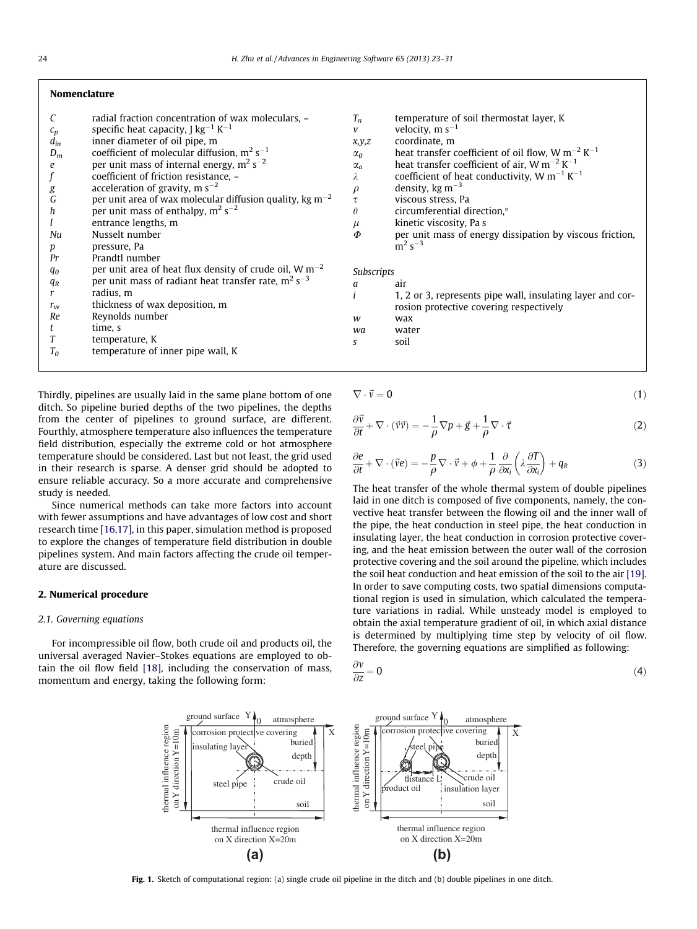#### Nomenclature

|                  | radial fraction concentration of wax moleculars, -            |
|------------------|---------------------------------------------------------------|
| $c_p$            | specific heat capacity, J $kg^{-1} K^{-1}$                    |
| $d_{in}$         | inner diameter of oil pipe, m                                 |
| $D_m$            | coefficient of molecular diffusion, $m^2 s^{-1}$              |
| e                | per unit mass of internal energy, $m^2 s^{-2}$                |
| $\boldsymbol{f}$ | coefficient of friction resistance, -                         |
| g                | acceleration of gravity, m $s^{-2}$                           |
| G                | per unit area of wax molecular diffusion quality, kg $m^{-2}$ |
| h                | per unit mass of enthalpy, $m^2 s^{-2}$                       |
|                  | entrance lengths, m                                           |
| Nu               | Nusselt number                                                |
| р                | pressure, Pa                                                  |
| Pr               | Prandtl number                                                |
| $q_{0}$          | per unit area of heat flux density of crude oil, $W m^{-2}$   |
| $q_R$            | per unit mass of radiant heat transfer rate, $m^2 s^{-3}$     |
| r                | radius. m                                                     |
| $r_{w}$          | thickness of wax deposition, m                                |
| Re               | Reynolds number                                               |
| t                | time, s                                                       |
| T                | temperature, K                                                |
| $T_0$            | temperature of inner pipe wall, K                             |

Thirdly, pipelines are usually laid in the same plane bottom of one ditch. So pipeline buried depths of the two pipelines, the depths from the center of pipelines to ground surface, are different. Fourthly, atmosphere temperature also influences the temperature field distribution, especially the extreme cold or hot atmosphere temperature should be considered. Last but not least, the grid used in their research is sparse. A denser grid should be adopted to ensure reliable accuracy. So a more accurate and comprehensive study is needed.

Since numerical methods can take more factors into account with fewer assumptions and have advantages of low cost and short research time [\[16,17\],](#page--1-0) in this paper, simulation method is proposed to explore the changes of temperature field distribution in double pipelines system. And main factors affecting the crude oil temperature are discussed.

#### 2. Numerical procedure

#### 2.1. Governing equations

For incompressible oil flow, both crude oil and products oil, the universal averaged Navier–Stokes equations are employed to obtain the oil flow field [\[18\],](#page--1-0) including the conservation of mass, momentum and energy, taking the following form:

| $T_n$       | temperature of soil thermostat layer, K                           |  |
|-------------|-------------------------------------------------------------------|--|
| $\mathbf v$ | velocity, $m s^{-1}$                                              |  |
| x, y, z     | coordinate, m                                                     |  |
| $\alpha_0$  | heat transfer coefficient of oil flow, W $m^{-2}$ K <sup>-1</sup> |  |
| $\alpha_a$  | heat transfer coefficient of air, W $m^{-2}$ K <sup>-1</sup>      |  |
| λ           | coefficient of heat conductivity, W $m^{-1}$ K <sup>-1</sup>      |  |
| $\rho$      | density, $kg \, \text{m}^{-3}$                                    |  |
| $\tau$      | viscous stress, Pa                                                |  |
| $\theta$    | circumferential direction, <sup>o</sup>                           |  |
| $\mu$       | kinetic viscosity, Pa s                                           |  |
| Φ           | per unit mass of energy dissipation by viscous friction,          |  |
|             | $m^2$ s <sup>-3</sup>                                             |  |
|             |                                                                   |  |
| Subscripts  |                                                                   |  |
| a           | air                                                               |  |

- $i = 1, 2$  or 3, represents pipe wall, insulating layer and corrosion protective covering respectively
- w wax
- wa water
- s soil

$$
\nabla \cdot \vec{v} = 0 \tag{1}
$$

$$
\frac{\partial \vec{v}}{\partial t} + \nabla \cdot (\vec{v}\vec{v}) = -\frac{1}{\rho} \nabla p + \vec{g} + \frac{1}{\rho} \nabla \cdot \vec{\tau}
$$
 (2)

$$
\frac{\partial e}{\partial t} + \nabla \cdot (\vec{v}e) = -\frac{p}{\rho} \nabla \cdot \vec{v} + \phi + \frac{1}{\rho} \frac{\partial}{\partial x_i} \left( \lambda \frac{\partial T}{\partial x_i} \right) + q_R \tag{3}
$$

The heat transfer of the whole thermal system of double pipelines laid in one ditch is composed of five components, namely, the convective heat transfer between the flowing oil and the inner wall of the pipe, the heat conduction in steel pipe, the heat conduction in insulating layer, the heat conduction in corrosion protective covering, and the heat emission between the outer wall of the corrosion protective covering and the soil around the pipeline, which includes the soil heat conduction and heat emission of the soil to the air [\[19\].](#page--1-0) In order to save computing costs, two spatial dimensions computational region is used in simulation, which calculated the temperature variations in radial. While unsteady model is employed to obtain the axial temperature gradient of oil, in which axial distance is determined by multiplying time step by velocity of oil flow. Therefore, the governing equations are simplified as following:

$$
\frac{\partial v}{\partial z} = 0 \tag{4}
$$



Fig. 1. Sketch of computational region: (a) single crude oil pipeline in the ditch and (b) double pipelines in one ditch.